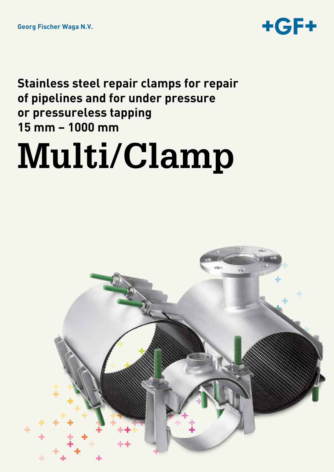

**Stainless steel repair clamps for repair of pipelines and for under pressure or pressureless tapping 15 mm – 1000 mm**

# **Multi/Clamp**

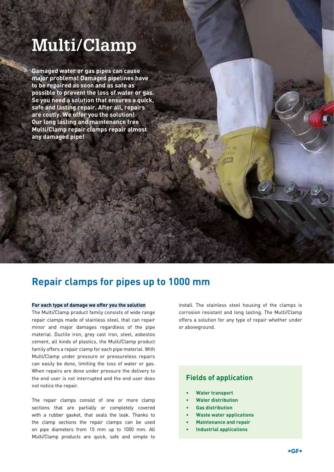# **Multi/Clamp**

**Damaged water or gas pipes can cause major problems! Damaged pipelines have to be repaired as soon and as safe as possible to prevent the loss of water or gas. So you need a solution that ensures a quick, safe and lasting repair. After all, repairs are costly. We offer you the solution! Our long lasting and maintenance free Multi/Clamp repair clamps repair almost any damaged pipe!**

### **Repair clamps for pipes up to 1000 mm**

#### **For each type of damage we offer you the solution**

The Multi/Clamp product family consists of wide range repair clamps made of stainless steel, that can repair minor and major damages regardless of the pipe material. Ductile iron, grey cast iron, steel, asbestos cement, all kinds of plastics, the Multi/Clamp product family offers a repair clamp for each pipe material. With Multi/Clamp under pressure or pressureless repairs can easily be done, limiting the loss of water or gas. When repairs are done under pressure the delivery to the end user is not interrupted and the end user does not notice the repair.

The repair clamps consist of one or more clamp sections that are partially or completely covered with a rubber gasket, that seals the leak. Thanks to the clamp sections the repair clamps can be used on pipe diameters from 15 mm up to 1000 mm. All Multi/Clamp products are quick, safe and simple to

install. The stainless steel housing of the clamps is corrosion resistant and long lasting. The Multi/Clamp offers a solution for any type of repair whether under or aboveground.

#### **Fields of application**

- **Water transport**
- • **Water distribution**
- **Gas distribution**
- **Waste water applications**
- **Maintenance and repair**
- **Industrial applications**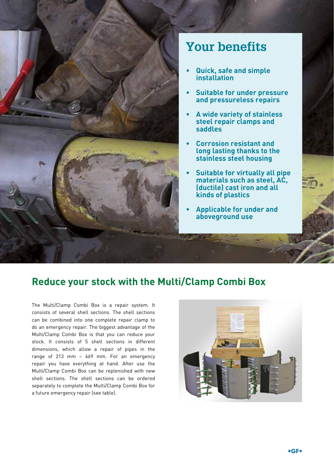

## **Your benefits**

- **Quick, safe and simple installation**
- **Suitable for under pressure and pressureless repairs**
- **• A wide variety of stainless steel repair clamps and saddles**
- **Corrosion resistant and long lasting thanks to the stainless steel housing**
- **Suitable for virtually all pipe materials such as steel, AC, (ductile) cast iron and all kinds of plastics**
- **Applicable for under and aboveground use**

### **Reduce your stock with the Multi/Clamp Combi Box**

The Multi/Clamp Combi Box is a repair system. It consists of several shell sections. The shell sections can be combined into one complete repair clamp to do an emergency repair. The biggest advantage of the Multi/Clamp Combi Box is that you can reduce your stock. It consists of 5 shell sections in different dimensions, which allow a repair of pipes in the range of 213 mm – 669 mm. For an emergency repair you have everything at hand. After use the Multi/Clamp Combi Box can be replenished with new shell sections. The shell sections can be ordered separately to complete the Multi/Clamp Combi Box for a future emergency repair (see table).

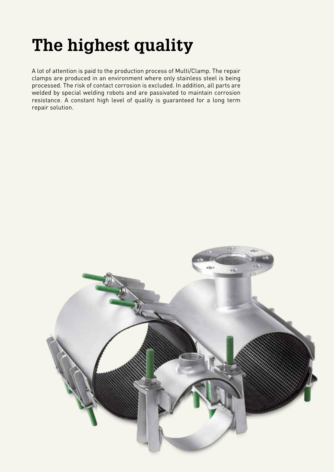# **The highest quality**

A lot of attention is paid to the production process of Multi/Clamp. The repair clamps are produced in an environment where only stainless steel is being processed. The risk of contact corrosion is excluded. In addition, all parts are welded by special welding robots and are passivated to maintain corrosion resistance. A constant high level of quality is guaranteed for a long term repair solution.

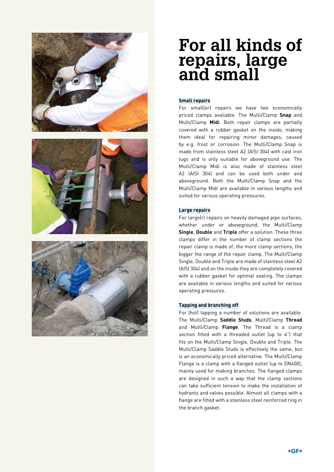





# **For all kinds of repairs, large and small**

#### **Small repairs**

For small(er) repairs we have two economically priced clamps available. The Multi/Clamp **Snap** and Multi/Clamp **Midi**. Both repair clamps are partially covered with a rubber gasket on the inside, making them ideal for repairing minor damages, caused by e.g. frost or corrosion. The Multi/Clamp Snap is made from stainless steel A2 (AISI 304) with cast iron lugs and is only suitable for aboveground use. The Multi/Clamp Midi is also made of stainless steel A2 (AISI 304) and can be used both under and aboveground. Both the Multi/Clamp Snap and the Multi/Clamp Midi are available in various lengths and suited for various operating pressures.

#### **Large repairs**

For large(r) repairs on heavily damaged pipe surfaces, whether under or aboveground, the Multi/Clamp **Single**, **Double** and **Triple** offer a solution. These three clamps differ in the number of clamp sections the repair clamp is made of; the more clamp sections, the bigger the range of the repair clamp. The Multi/Clamp Single, Double and Triple are made of stainless steel A2 (AISI 304) and on the inside they are completely covered with a rubber gasket for optimal sealing. The clamps are available in various lengths and suited for various operating pressures.

#### **Tapping and branching off**

For (hot) tapping a number of solutions are available. The Multi/Clamp **Saddle Studs**, Multi/Clamp **Thread** and Multi/Clamp **Flange**. The Thread is a clamp section fitted with a threaded outlet (up to 4") that fits on the Multi/Clamp Single, Double and Triple. The Multi/Clamp Saddle Studs is effectively the same, but is an economically priced alternative. The Multi/Clamp Flange is a clamp with a flanged outlet (up to DN400), mainly used for making branches. The flanged clamps are designed in such a way that the clamp sections can take sufficient tension to make the installation of hydrants and valves possible. Almost all clamps with a flange are fitted with a stainless steel reinforced ring in the branch gasket.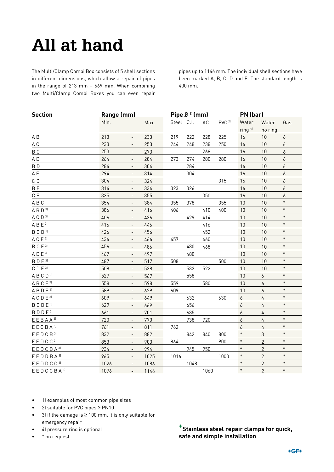# **All at hand**

The Multi/Clamp Combi Box consists of 5 shell sections in different dimensions, which allow a repair of pipes in the range of 213 mm – 669 mm. When combining two Multi/Clamp Combi Boxes you can even repair

pipes up to 1146 mm. The individual shell sections have been marked A, B, C, D and E. The standard length is 400 mm.

| <b>Section</b>                                          |      | Range (mm)               |      |            | Pipe $6^{\frac{11}{2}}$ (mm) |      |                   |                    | PN (bar)       |                  |  |
|---------------------------------------------------------|------|--------------------------|------|------------|------------------------------|------|-------------------|--------------------|----------------|------------------|--|
|                                                         | Min. |                          | Max. | Steel C.I. |                              | AC   | PVC <sup>2]</sup> | Water              | Water          | Gas              |  |
|                                                         |      |                          |      |            |                              |      |                   | ring <sup>4]</sup> | no ring        |                  |  |
| A B                                                     | 213  | $\overline{\phantom{a}}$ | 233  | 219        | 222                          | 228  | 225               | 16                 | 10             | $\boldsymbol{6}$ |  |
| A C                                                     | 233  |                          | 253  | 244        | 248                          | 238  | 250               | 16                 | 10             | 6                |  |
| B <sub>C</sub>                                          | 253  | $\overline{\phantom{a}}$ | 273  |            |                              | 268  |                   | 16                 | 10             | 6                |  |
| AD                                                      | 264  | $\overline{\phantom{a}}$ | 284  | 273        | 274                          | 280  | 280               | 16                 | 10             | 6                |  |
| BD                                                      | 284  | $\overline{\phantom{a}}$ | 304  |            | 284                          |      |                   | 16                 | 10             | 6                |  |
| A E                                                     | 294  | $\overline{\phantom{a}}$ | 314  |            | 304                          |      |                   | 16                 | 10             | $\boldsymbol{6}$ |  |
| $\mathbb C$ D                                           | 304  | $\overline{\phantom{a}}$ | 324  |            |                              |      | 315               | 16                 | 10             | $\boldsymbol{6}$ |  |
| <b>BE</b>                                               | 314  | $\overline{\phantom{a}}$ | 334  | 323        | 326                          |      |                   | 16                 | 10             | 6                |  |
| $\mathbb C$ $\mathbb E$                                 | 335  | $\overline{\phantom{a}}$ | 355  |            |                              | 350  |                   | 16                 | 10             | $\boldsymbol{6}$ |  |
| $\mathsf A\mathrel{\mathsf B}\mathsf C$                 | 354  | $\overline{\phantom{a}}$ | 384  | 355        | 378                          |      | 355               | 10                 | 10             | $\ast$           |  |
| $A B D$ <sup>31</sup>                                   | 386  | $\overline{\phantom{a}}$ | 416  | 406        |                              | 410  | 400               | 10                 | 10             | $\ast$           |  |
| ACD <sup>31</sup>                                       | 406  | $\overline{\phantom{a}}$ | 436  |            | 429                          | 414  |                   | 10                 | 10             | $\ast$           |  |
| $A B E$ <sup>31</sup>                                   | 416  | $\overline{\phantom{a}}$ | 446  |            |                              | 416  |                   | 10                 | 10             | $\ast$           |  |
| BCD <sup>31</sup>                                       | 426  | $\blacksquare$           | 456  |            |                              | 452  |                   | 10                 | 10             | $\ast$           |  |
| $A C E$ <sup>31</sup>                                   | 436  | $\overline{\phantom{a}}$ | 466  | 457        |                              | 460  |                   | 10                 | 10             | $\ast$           |  |
| BCE <sup>31</sup>                                       | 456  | $\overline{\phantom{a}}$ | 486  |            | 480                          | 468  |                   | 10                 | 10             | $\ast$           |  |
| $\mathsf{A}\mathsf{D}\mathsf{E}^{\mathsf{3}\mathsf{I}}$ | 467  | $\overline{\phantom{a}}$ | 497  |            | 480                          |      |                   | 10                 | 10             | $\ast$           |  |
| BDE <sup>31</sup>                                       | 487  | $\overline{\phantom{a}}$ | 517  | 508        |                              |      | 500               | 10                 | 10             | $\ast$           |  |
| $\mathbb C$ D $\mathbb E$ 31                            | 508  | $\blacksquare$           | 538  |            | 532                          | 522  |                   | 10                 | 10             | $\ast$           |  |
| ABCD <sup>31</sup>                                      | 527  | $\qquad \qquad -$        | 567  |            | 558                          |      |                   | 10                 | 6              | $\ast$           |  |
| ABCE <sup>31</sup>                                      | 558  | $\overline{\phantom{a}}$ | 598  | 559        |                              | 580  |                   | 10                 | 6              | $\ast$           |  |
| $A B D E$ <sup>31</sup>                                 | 589  | $\qquad \qquad -$        | 629  | 609        |                              |      |                   | 10                 | 6              | $\ast$           |  |
| $A C D E$ <sup>31</sup>                                 | 609  | $\overline{\phantom{a}}$ | 649  |            | 632                          |      | 630               | 6                  | 4              | $\ast$           |  |
| BCDE <sup>31</sup>                                      | 629  | $\overline{\phantom{a}}$ | 669  |            | 656                          |      |                   | 6                  | $\sqrt{4}$     | $\ast$           |  |
| BDDE <sup>31</sup>                                      | 661  | $\overline{\phantom{a}}$ | 701  |            | 685                          |      |                   | $\boldsymbol{6}$   | $\overline{4}$ | $\ast$           |  |
| EEBAA <sup>31</sup>                                     | 720  | $\overline{\phantom{a}}$ | 770  |            | 738                          | 720  |                   | $\boldsymbol{6}$   | $\sqrt{4}$     | $\ast$           |  |
| EECBA <sup>31</sup>                                     | 761  | $\blacksquare$           | 811  | 762        |                              |      |                   | 6                  | $\sqrt{4}$     | $\ast$           |  |
| E E D C B <sup>31</sup>                                 | 832  | $\blacksquare$           | 882  |            | 842                          | 840  | 800               | $\ast$             | $\mathfrak{Z}$ | $\ast$           |  |
| E E D C C <sup>31</sup>                                 | 853  | $\overline{\phantom{a}}$ | 903  | 864        |                              |      | 900               | $\ast$             | $\overline{2}$ | $\ast$           |  |
| EEDCBA <sup>31</sup>                                    | 934  | $\overline{\phantom{a}}$ | 994  |            | 945                          | 950  |                   | $\ast$             | $\overline{2}$ | $\ast$           |  |
| $E E D D B A$ <sup>31</sup>                             | 965  | $\overline{\phantom{a}}$ | 1025 | 1016       |                              |      | 1000              | $\ast$             | $\overline{2}$ | $\ast$           |  |
| EEDDCC <sup>31</sup>                                    | 1026 | $\overline{\phantom{a}}$ | 1086 |            | 1048                         |      |                   | $\ast$             | $\overline{c}$ | $\ast$           |  |
| EEDCCBA <sup>31</sup>                                   | 1076 | $\overline{\phantom{a}}$ | 1146 |            |                              | 1060 |                   | $\ast$             | $\overline{2}$ | $\ast$           |  |

- • 1) examples of most common pipe sizes
- • 2) suitable for PVC pipes ≥ PN10
- • 3) if the damage is ≥ 100 mm, it is only suitable for emergency repair
- • 4) pressure ring is optional
- • \* on request

**+Stainless steel repair clamps for quick, safe and simple installation**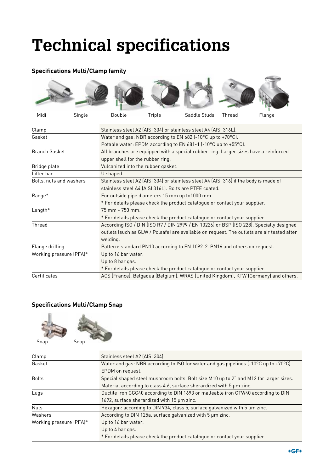# **Technical specifications**

#### **Specifications Multi/Clamp family**



| Clamp                   | Stainless steel A2 (AISI 304) or stainless steel A4 (AISI 316L).                           |  |  |  |
|-------------------------|--------------------------------------------------------------------------------------------|--|--|--|
| Gasket                  | Water and gas: NBR according to EN 682 (-10°C up to +70°C).                                |  |  |  |
|                         | Potable water: EPDM according to EN 681-1 (-10°C up to +55°C).                             |  |  |  |
| <b>Branch Gasket</b>    | All branches are equipped with a special rubber ring. Larger sizes have a reinforced       |  |  |  |
|                         | upper shell for the rubber ring.                                                           |  |  |  |
| Bridge plate            | Vulcanized into the rubber gasket.                                                         |  |  |  |
| Lifter bar              | U shaped.                                                                                  |  |  |  |
| Bolts, nuts and washers | Stainless steel A2 (AISI 304) or stainless steel A4 (AISI 316) if the body is made of      |  |  |  |
|                         | stainless steel A4 (AISI 316L). Bolts are PTFE coated.                                     |  |  |  |
| Range*                  | For outside pipe diameters 15 mm up to1000 mm.                                             |  |  |  |
|                         | * For details please check the product catalogue or contact your supplier.                 |  |  |  |
| Length*                 | $75 \text{ mm} - 750 \text{ mm}$ .                                                         |  |  |  |
|                         | * For details please check the product catalogue or contact your supplier.                 |  |  |  |
| Thread                  | According ISO / DIN (ISO R7 / DIN 2999 / EN 10226) or BSP (ISO 228). Specially designed    |  |  |  |
|                         | outlets (such as GLW / Polsafe) are available on request. The outlets are air tested after |  |  |  |
|                         | welding.                                                                                   |  |  |  |
| Flange drilling         | Pattern: standard PN10 according to EN 1092-2. PN16 and others on request.                 |  |  |  |
| Working pressure (PFA)* | Up to 16 bar water.                                                                        |  |  |  |
|                         | Up to 8 bar gas.                                                                           |  |  |  |
|                         | * For details please check the product catalogue or contact your supplier.                 |  |  |  |
| Certificates            | ACS (France), Belgaqua (Belgium), WRAS (United Kingdom), KTW (Germany) and others.         |  |  |  |

#### **Specifications Multi/Clamp Snap**





| Clamp                   | Stainless steel A2 (AISI 304).                                                        |  |  |  |  |
|-------------------------|---------------------------------------------------------------------------------------|--|--|--|--|
| Gasket                  | Water and gas: NBR according to ISO for water and gas pipelines (-10°C up to +70°C).  |  |  |  |  |
|                         | EPDM on request.                                                                      |  |  |  |  |
| <b>Bolts</b>            | Special shaped steel mushroom bolts. Bolt size M10 up to 2" and M12 for larger sizes. |  |  |  |  |
|                         | Material according to class 4.6, surface sherardized with 5 um zinc.                  |  |  |  |  |
| Lugs                    | Ductile iron GGG40 according to DIN 1693 or malleable iron GTW40 according to DIN     |  |  |  |  |
|                         | 1692, surface sherardized with 15 µm zinc.                                            |  |  |  |  |
| <b>Nuts</b>             | Hexagon: according to DIN 934, class 5, surface galvanized with 5 um zinc.            |  |  |  |  |
| Washers                 | According to DIN 125a, surface galvanized with 5 um zinc.                             |  |  |  |  |
| Working pressure (PFA)* | Up to 16 bar water.                                                                   |  |  |  |  |
|                         | Up to 4 bar gas.                                                                      |  |  |  |  |
|                         | * For details please check the product catalogue or contact your supplier.            |  |  |  |  |